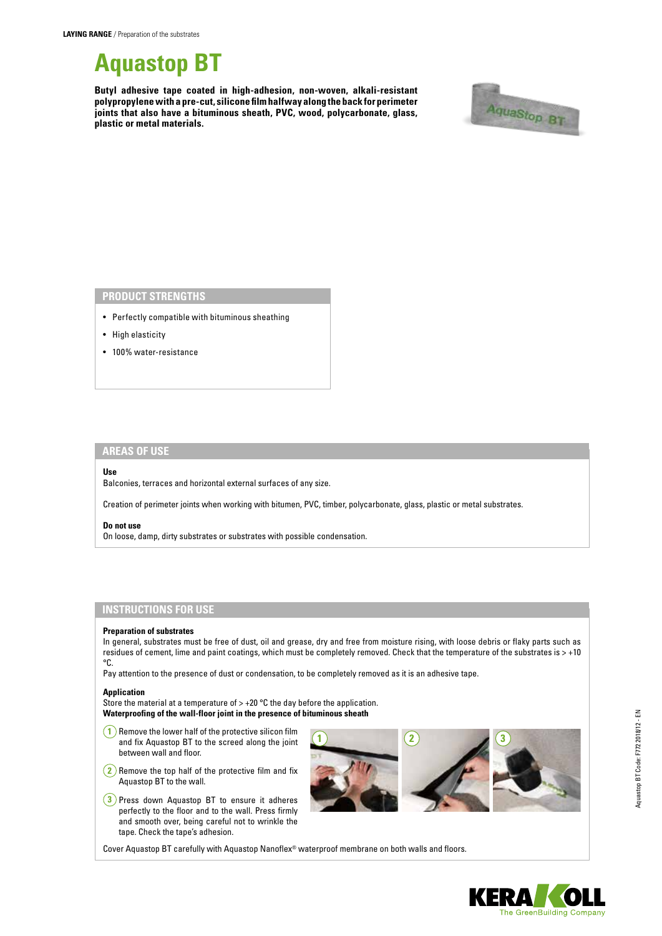

**Butyl adhesive tape coated in high-adhesion, non-woven, alkali-resistant polypropylene with a pre-cut, silicone film halfway along the back for perimeter joints that also have a bituminous sheath, PVC, wood, polycarbonate, glass, plastic or metal materials.**



## **PRODUCT STRENGTHS**

- Perfectly compatible with bituminous sheathing
- High elasticity
- 100% water-resistance

# **AREAS OF USE**

## **Use**

Balconies, terraces and horizontal external surfaces of any size.

Creation of perimeter joints when working with bitumen, PVC, timber, polycarbonate, glass, plastic or metal substrates.

### **Do not use**

On loose, damp, dirty substrates or substrates with possible condensation.

## **INSTRUCTIONS FOR USE**

#### **Preparation of substrates**

In general, substrates must be free of dust, oil and grease, dry and free from moisture rising, with loose debris or flaky parts such as residues of cement, lime and paint coatings, which must be completely removed. Check that the temperature of the substrates is > +10 °C.

Pay attention to the presence of dust or condensation, to be completely removed as it is an adhesive tape.

#### **Application**

Store the material at a temperature of  $> +20$  °C the day before the application. **Waterproofing of the wall-floor joint in the presence of bituminous sheath**

- **1** Remove the lower half of the protective silicon film and fix Aquastop BT to the screed along the joint between wall and floor.
- **2** Remove the top half of the protective film and fix Aquastop BT to the wall.
- **3** Press down Aquastop BT to ensure it adheres perfectly to the floor and to the wall. Press firmly and smooth over, being careful not to wrinkle the tape. Check the tape's adhesion.



Aquastop BT Code: F772 2018/12 - EN Aquastop BT Code: F772 2018/12 - EN

Cover Aquastop BT carefully with Aquastop Nanoflex® waterproof membrane on both walls and floors.